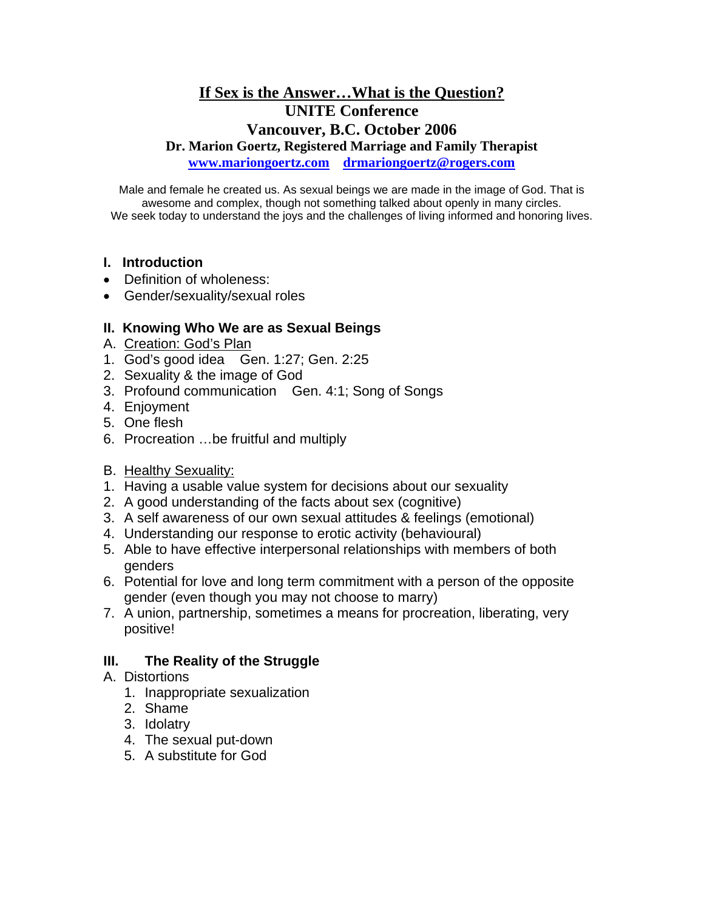# **If Sex is the Answer…What is the Question? UNITE Conference Vancouver, B.C. October 2006**

**Dr. Marion Goertz, Registered Marriage and Family Therapist** 

**[www.mariongoertz.com](http://www.mariongoertz.com/) [drmariongoertz@rogers.com](mailto:drmariongoertz@rogers.com)** 

Male and female he created us. As sexual beings we are made in the image of God. That is awesome and complex, though not something talked about openly in many circles. We seek today to understand the joys and the challenges of living informed and honoring lives.

## **I. Introduction**

- Definition of wholeness:
- Gender/sexuality/sexual roles

## **II. Knowing Who We are as Sexual Beings**

- A. Creation: God's Plan
- 1. God's good idea Gen. 1:27; Gen. 2:25
- 2. Sexuality & the image of God
- 3. Profound communication Gen. 4:1; Song of Songs
- 4. Enjoyment
- 5. One flesh
- 6. Procreation …be fruitful and multiply
- B. Healthy Sexuality:
- 1. Having a usable value system for decisions about our sexuality
- 2. A good understanding of the facts about sex (cognitive)
- 3. A self awareness of our own sexual attitudes & feelings (emotional)
- 4. Understanding our response to erotic activity (behavioural)
- 5. Able to have effective interpersonal relationships with members of both genders
- 6. Potential for love and long term commitment with a person of the opposite gender (even though you may not choose to marry)
- 7. A union, partnership, sometimes a means for procreation, liberating, very positive!

## **III. The Reality of the Struggle**

- A. Distortions
	- 1. Inappropriate sexualization
	- 2. Shame
	- 3. Idolatry
	- 4. The sexual put-down
	- 5. A substitute for God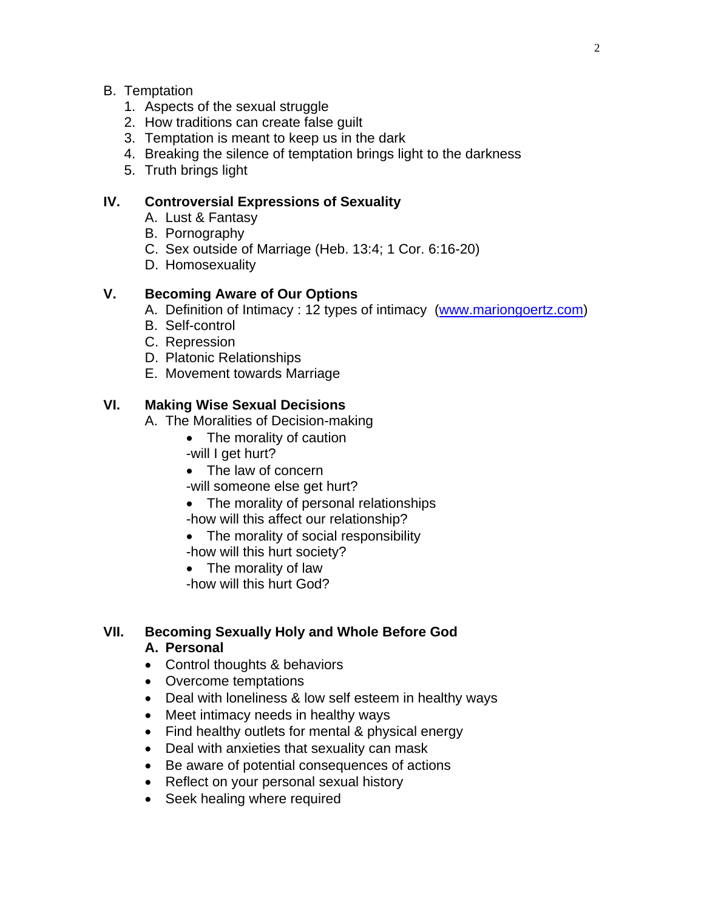## B. Temptation

- 1. Aspects of the sexual struggle
- 2. How traditions can create false guilt
- 3. Temptation is meant to keep us in the dark
- 4. Breaking the silence of temptation brings light to the darkness
- 5. Truth brings light

## **IV. Controversial Expressions of Sexuality**

- A. Lust & Fantasy
- B. Pornography
- C. Sex outside of Marriage (Heb. 13:4; 1 Cor. 6:16-20)
- D. Homosexuality

# **V. Becoming Aware of Our Options**

- A. Definition of Intimacy : 12 types of intimacy [\(www.mariongoertz.com](http://www.mariongoertz.com/))
- B. Self-control
- C. Repression
- D. Platonic Relationships
- E. Movement towards Marriage

## **VI. Making Wise Sexual Decisions**

- A. The Moralities of Decision-making
	- The morality of caution
	- -will I get hurt?
	- The law of concern
	- -will someone else get hurt?
	- The morality of personal relationships
	- -how will this affect our relationship?
	- The morality of social responsibility
	- -how will this hurt society?
	- The morality of law
	- -how will this hurt God?

### **VII. Becoming Sexually Holy and Whole Before God A. Personal**

- Control thoughts & behaviors
- Overcome temptations
- Deal with loneliness & low self esteem in healthy ways
- Meet intimacy needs in healthy ways
- Find healthy outlets for mental & physical energy
- Deal with anxieties that sexuality can mask
- Be aware of potential consequences of actions
- Reflect on your personal sexual history
- Seek healing where required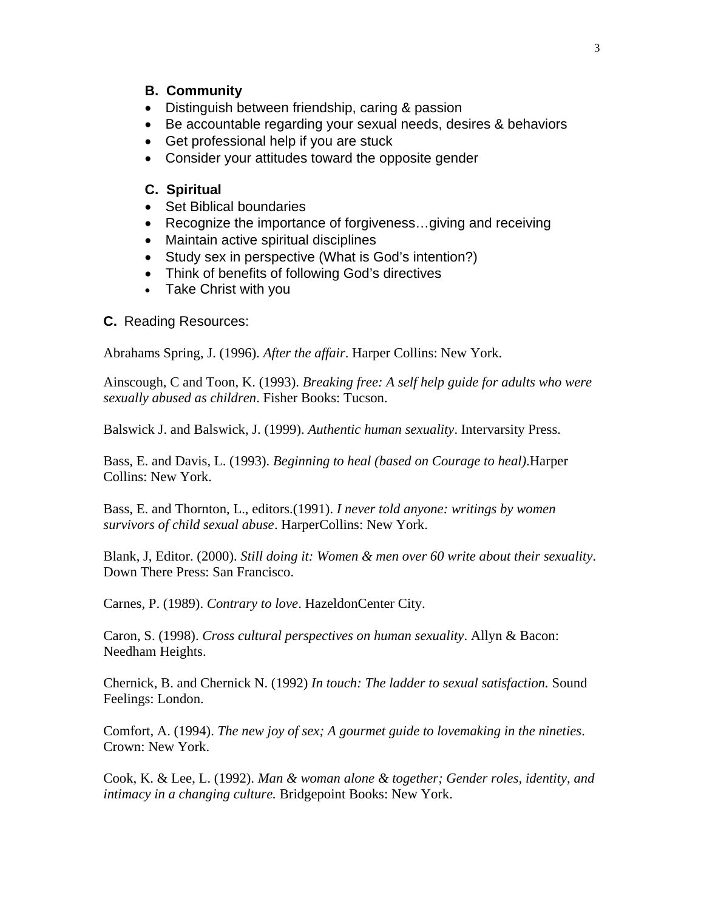### **B. Community**

- Distinguish between friendship, caring & passion
- Be accountable regarding your sexual needs, desires & behaviors
- Get professional help if you are stuck
- Consider your attitudes toward the opposite gender

#### **C. Spiritual**

- Set Biblical boundaries
- Recognize the importance of forgiveness…giving and receiving
- Maintain active spiritual disciplines
- Study sex in perspective (What is God's intention?)
- Think of benefits of following God's directives
- Take Christ with you

#### **C.** Reading Resources:

Abrahams Spring, J. (1996). *After the affair*. Harper Collins: New York.

Ainscough, C and Toon, K. (1993). *Breaking free: A self help guide for adults who were sexually abused as children*. Fisher Books: Tucson.

Balswick J. and Balswick, J. (1999). *Authentic human sexuality*. Intervarsity Press.

Bass, E. and Davis, L. (1993). *Beginning to heal (based on Courage to heal)*.Harper Collins: New York.

Bass, E. and Thornton, L., editors.(1991). *I never told anyone: writings by women survivors of child sexual abuse*. HarperCollins: New York.

Blank, J, Editor. (2000). *Still doing it: Women & men over 60 write about their sexuality*. Down There Press: San Francisco.

Carnes, P. (1989). *Contrary to love*. HazeldonCenter City.

Caron, S. (1998). *Cross cultural perspectives on human sexuality*. Allyn & Bacon: Needham Heights.

Chernick, B. and Chernick N. (1992) *In touch: The ladder to sexual satisfaction.* Sound Feelings: London.

Comfort, A. (1994). *The new joy of sex; A gourmet guide to lovemaking in the nineties*. Crown: New York.

Cook, K. & Lee, L. (1992). *Man & woman alone & together; Gender roles, identity, and intimacy in a changing culture.* Bridgepoint Books: New York.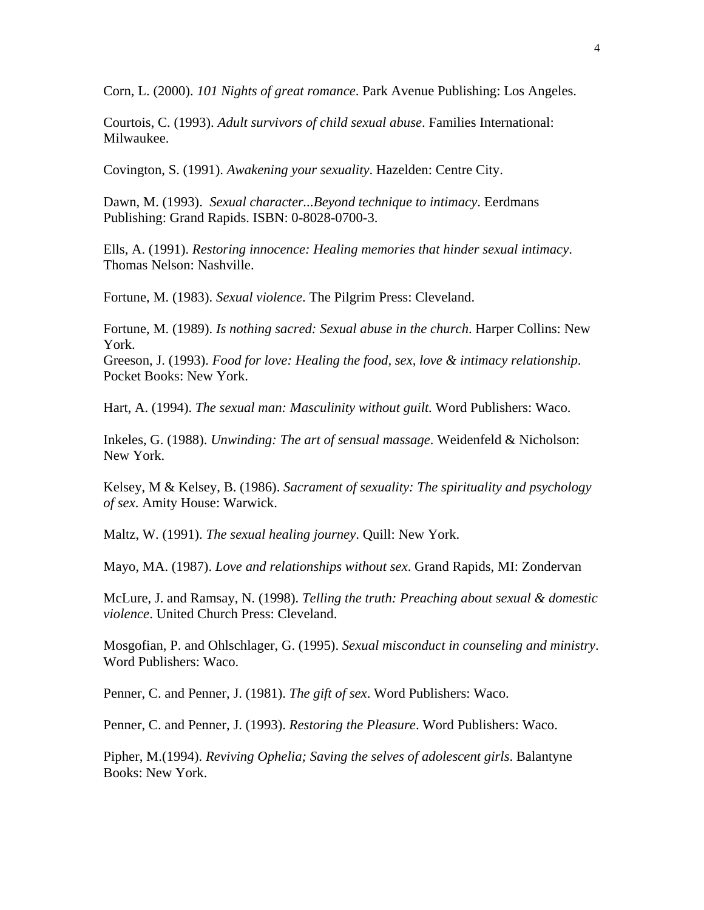Corn, L. (2000). *101 Nights of great romance*. Park Avenue Publishing: Los Angeles.

Courtois, C. (1993). *Adult survivors of child sexual abuse*. Families International: Milwaukee.

Covington, S. (1991). *Awakening your sexuality*. Hazelden: Centre City.

Dawn, M. (1993). *Sexual character...Beyond technique to intimacy*. Eerdmans Publishing: Grand Rapids. ISBN: 0-8028-0700-3.

Ells, A. (1991). *Restoring innocence: Healing memories that hinder sexual intimacy*. Thomas Nelson: Nashville.

Fortune, M. (1983). *Sexual violence*. The Pilgrim Press: Cleveland.

Fortune, M. (1989). *Is nothing sacred: Sexual abuse in the church*. Harper Collins: New York.

Greeson, J. (1993). *Food for love: Healing the food, sex, love & intimacy relationship*. Pocket Books: New York.

Hart, A. (1994). *The sexual man: Masculinity without guilt.* Word Publishers: Waco.

Inkeles, G. (1988). *Unwinding: The art of sensual massage*. Weidenfeld & Nicholson: New York.

Kelsey, M & Kelsey, B. (1986). *Sacrament of sexuality: The spirituality and psychology of sex*. Amity House: Warwick.

Maltz, W. (1991). *The sexual healing journey*. Quill: New York.

Mayo, MA. (1987). *Love and relationships without sex*. Grand Rapids, MI: Zondervan

McLure, J. and Ramsay, N. (1998). *Telling the truth: Preaching about sexual & domestic violence*. United Church Press: Cleveland.

Mosgofian, P. and Ohlschlager, G. (1995). *Sexual misconduct in counseling and ministry*. Word Publishers: Waco.

Penner, C. and Penner, J. (1981). *The gift of sex*. Word Publishers: Waco.

Penner, C. and Penner, J. (1993). *Restoring the Pleasure*. Word Publishers: Waco.

Pipher, M.(1994). *Reviving Ophelia; Saving the selves of adolescent girls*. Balantyne Books: New York.